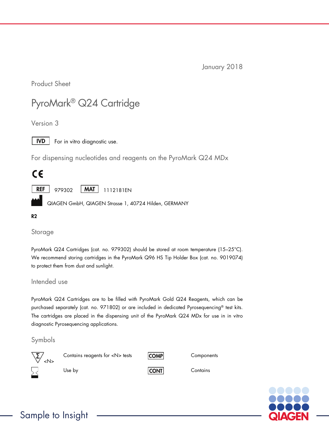January 2018

Product Sheet

# PyroMark® Q24 Cartridge

Version 3



For in vitro diagnostic use.

For dispensing nucleotides and reagents on the PyroMark Q24 MDx

# $\epsilon$

**REF** 979302 | MAT | 1112181EN

QIAGEN GmbH, QIAGEN Strasse 1, 40724 Hilden, GERMANY

#### R2

Storage

PyroMark Q24 Cartridges (cat. no. 979302) should be stored at room temperature (15–25°C). We recommend storing cartridges in the PyroMark Q96 HS Tip Holder Box (cat. no. 9019074) to protect them from dust and sunlight.

Intended use

PyroMark Q24 Cartridges are to be filled with PyroMark Gold Q24 Reagents, which can be purchased separately (cat. no. 971802) or are included in dedicated Pyrosequencing® test kits. The cartridges are placed in the dispensing unit of the PyroMark Q24 MDx for use in in vitro diagnostic Pyrosequencing applications.

### Symbols



Contains reagents for <N> tests COMP Components

Use by CONT CONT Contains

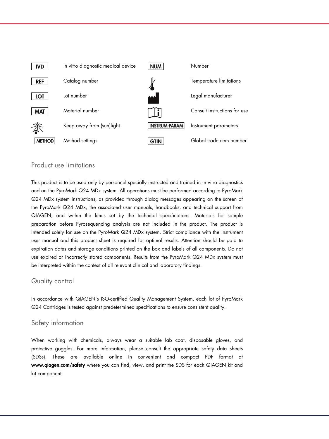

#### Product use limitations

This product is to be used only by personnel specially instructed and trained in in vitro diagnostics and on the PyroMark Q24 MDx system. All operations must be performed according to PyroMark Q24 MDx system instructions, as provided through dialog messages appearing on the screen of the PyroMark Q24 MDx, the associated user manuals, handbooks, and technical support from QIAGEN, and within the limits set by the technical specifications. Materials for sample preparation before Pyrosequencing analysis are not included in the product. The product is intended solely for use on the PyroMark Q24 MDx system. Strict compliance with the instrument user manual and this product sheet is required for optimal results. Attention should be paid to expiration dates and storage conditions printed on the box and labels of all components. Do not use expired or incorrectly stored components. Results from the PyroMark Q24 MDx system must be interpreted within the context of all relevant clinical and laboratory findings.

#### Quality control

In accordance with QIAGEN's ISO-certified Quality Management System, each lot of PyroMark Q24 Cartridges is tested against predetermined specifications to ensure consistent quality.

#### Safety information

When working with chemicals, always wear a suitable lab coat, disposable gloves, and protective goggles. For more information, please consult the appropriate safety data sheets (SDSs). These are available online in convenient and compact PDF format at www.qiagen.com/safety where you can find, view, and print the SDS for each QIAGEN kit and kit component.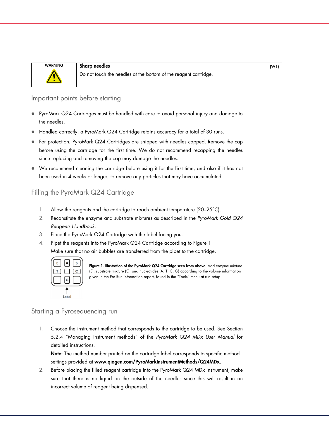

WARNING Sharp needles (W1) Do not touch the needles at the bottom of the reagent cartridge.

#### Important points before starting

- PyroMark Q24 Cartridges must be handled with care to avoid personal injury and damage to the needles.
- Handled correctly, a PyroMark Q24 Cartridge retains accuracy for a total of 30 runs.
- For protection, PyroMark Q24 Cartridges are shipped with needles capped. Remove the cap before using the cartridge for the first time. We do not recommend recapping the needles since replacing and removing the cap may damage the needles.
- We recommend cleaning the cartridge before using it for the first time, and also if it has not been used in 4 weeks or longer, to remove any particles that may have accumulated.

## Filling the PyroMark Q24 Cartridge

- 1. Allow the reagents and the cartridge to reach ambient temperature (20-25°C).
- 2. Reconstitute the enzyme and substrate mixtures as described in the *PyroMark Gold Q24 Reagents Handbook*.
- 3. Place the PyroMark Q24 Cartridge with the label facing you.
- 4. Pipet the reagents into the PyroMark Q24 Cartridge according to Figure 1. Make sure that no air bubbles are transferred from the pipet to the cartridge.



Figure 1. Illustration of the PyroMark Q24 Cartridge seen from above. Add enzyme mixture (E), substrate mixture (S), and nucleotides (A, T, C, G) according to the volume information given in the Pre Run information report, found in the "Tools" menu at run setup.

#### Starting a Pyrosequencing run

1. Choose the instrument method that corresponds to the cartridge to be used. See Section 5.2.4 "Managing instrument methods" of the *PyroMark Q24 MDx User Manual* for detailed instructions.

Note: The method number printed on the cartridge label corresponds to specific method settings provided at www.qiagen.com/PyroMarkInstrumentMethods/Q24MDx.

2. Before placing the filled reagent cartridge into the PyroMark Q24 MDx instrument, make sure that there is no liquid on the outside of the needles since this will result in an incorrect volume of reagent being dispensed.